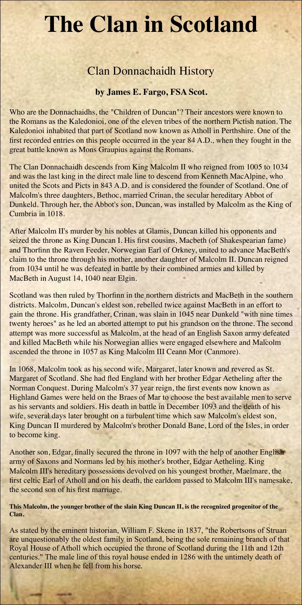## **The Clan in Scotland**

## Clan Donnachaidh History

## **by James E. Fargo, FSA Scot.**

Who are the Donnachaidhs, the "Children of Duncan"? Their ancestors were known to the Romans as the Kaledonioi, one of the eleven tribes of the northern Pictish nation. The Kaledonioi inhabited that part of Scotland now known as Atholl in Perthshire. One of the first recorded entries on this people occurred in the year 84 A.D., when they fought in the great battle known as Mons Graupius against the Romans.

The Clan Donnachaidh descends from King Malcolm II who reigned from 1005 to 1034 and was the last king in the direct male line to descend from Kenneth MacAlpine, who united the Scots and Picts in 843 A.D. and is considered the founder of Scotland. One of Malcolm's three daughters, Bethoc, married Crinan, the secular hereditary Abbot of Dunkeld. Through her, the Abbot's son, Duncan, was installed by Malcolm as the King of Cumbria in 1018.

After Malcolm II's murder by his nobles at Glamis, Duncan killed his opponents and seized the throne as King Duncan I. His first cousins, Macbeth (of Shakespearian fame) and Thorfinn the Raven Feeder, Norwegian Earl of Orkney, united to advance MacBeth's claim to the throne through his mother, another daughter of Malcolm II. Duncan reigned from 1034 until he was defeated in battle by their combined armies and killed by MacBeth in August 14, 1040 near Elgin.

Scotland was then ruled by Thorfinn in the northern districts and MacBeth in the southern districts. Malcolm, Duncan's eldest son, rebelled twice against MacBeth in an effort to gain the throne. His grandfather, Crinan, was slain in 1045 near Dunkeld "with nine times twenty heroes" as he led an aborted attempt to put his grandson on the throne. The second attempt was more successful as Malcolm, at the head of an English Saxon army defeated and killed MacBeth while his Norwegian allies were engaged elsewhere and Malcolm ascended the throne in 1057 as King Malcolm III Ceann Mor (Canmore).

In 1068, Malcolm took as his second wife, Margaret, later known and revered as St. Margaret of Scotland. She had fled England with her brother Edgar Aetheling after the Norman Conquest. During Malcolm's 37 year reign, the first events now known as Highland Games were held on the Braes of Mar to choose the best available men to serve as his servants and soldiers. His death in battle in December 1093 and the death of his wife, several days later brought on a turbulent time which saw Malcolm's eldest son, King Duncan II murdered by Malcolm's brother Donald Bane, Lord of the Isles, in order to become king.

Another son, Edgar, finally secured the throne in 1097 with the help of another English army of Saxons and Normans led by his mother's brother, Edgar Aetheling. King Malcolm III's hereditary possessions devolved on his youngest brother, Maelmare, the first celtic Earl of Atholl and on his death, the earldom passed to Malcolm III's namesake, the second son of his first marriage.

**This Malcolm, the younger brother of the slain King Duncan II, is the recognized progenitor of the Clan.**

As stated by the eminent historian, William F. Skene in 1837, "the Robertsons of Struan are unquestionably the oldest family in Scotland, being the sole remaining branch of that Royal House of Atholl which occupied the throne of Scotland during the 11th and 12th centuries." The male line of this royal house ended in 1286 with the untimely death of Alexander III when he fell from his horse.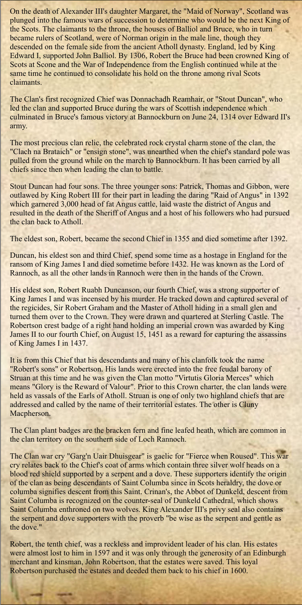On the death of Alexander III's daughter Margaret, the "Maid of Norway", Scotland was plunged into the famous wars of succession to determine who would be the next King of the Scots. The claimants to the throne, the houses of Balliol and Bruce, who in turn became rulers of Scotland, were of Norman origin in the male line, though they descended on the female side from the ancient Atholl dynasty. England, led by King Edward I, supported John Balliol. By 1306, Robert the Bruce had been crowned King of Scots at Scone and the War of Independence from the English continued while at the same time he continued to consolidate his hold on the throne among rival Scots claimants.

The Clan's first recognized Chief was Donnachadh Reamhair, or "Stout Duncan", who led the clan and supported Bruce during the wars of Scottish independence which culminated in Bruce's famous victory at Bannockburn on June 24, 1314 over Edward II's army.

The most precious clan relic, the celebrated rock crystal charm stone of the clan, the "Clach na Brataich" or "ensign stone", was unearthed when the chief's standard pole was pulled from the ground while on the march to Bannockburn. It has been carried by all chiefs since then when leading the clan to battle.

Stout Duncan had four sons. The three younger sons: Patrick, Thomas and Gibbon, were outlawed by King Robert III for their part in leading the daring "Raid of Angus" in 1392 which garnered 3,000 head of fat Angus cattle, laid waste the district of Angus and resulted in the death of the Sheriff of Angus and a host of his followers who had pursued the clan back to Atholl.

The Clan war cry "Garg'n Uair Dhuisgear" is gaelic for "Fierce when Roused". This war cry relates back to the Chief's coat of arms which contain three silver wolf heads on a blood red shield supported by a serpent and a dove. These supporters identify the origin of the clan as being descendants of Saint Columba since in Scots heraldry, the dove or columba signifies descent from this Saint. Crinan's, the Abbot of Dunkeld, descent from Saint Columba is recognized on the counter-seal of Dunkeld Cathedral, which shows Saint Columba enthroned on two wolves. King Alexander III's privy seal also contains the serpent and dove supporters with the proverb "be wise as the serpent and gentle as the dove."

The eldest son, Robert, became the second Chief in 1355 and died sometime after 1392.

Duncan, his eldest son and third Chief, spend some time as a hostage in England for the ransom of King James I and died sometime before 1432. He was known as the Lord of Rannoch, as all the other lands in Rannoch were then in the hands of the Crown.

His eldest son, Robert Ruabh Duncanson, our fourth Chief, was a strong supporter of King James I and was incensed by his murder. He tracked down and captured several of the regicides, Sir Robert Graham and the Master of Atholl hiding in a small glen and turned them over to the Crown. They were drawn and quartered at Sterling Castle. The Robertson crest badge of a right hand holding an imperial crown was awarded by King James II to our fourth Chief, on August 15, 1451 as a reward for capturing the assassins of King James I in 1437.

It is from this Chief that his descendants and many of his clanfolk took the name "Robert's sons" or Robertson. His lands were erected into the free feudal barony of Struan at this time and he was given the Clan motto "Virtutis Gloria Merces" which means "Glory is the Reward of Valour". Prior to this Crown charter, the clan lands were held as vassals of the Earls of Atholl. Struan is one of only two highland chiefs that are addressed and called by the name of their territorial estates. The other is Cluny Macpherson.

The Clan plant badges are the bracken fern and fine leafed heath, which are common in the clan territory on the southern side of Loch Rannoch.

Robert, the tenth chief, was a reckless and improvident leader of his clan. His estates were almost lost to him in 1597 and it was only through the generosity of an Edinburgh merchant and kinsman, John Robertson, that the estates were saved. This loyal Robertson purchased the estates and deeded them back to his chief in 1600.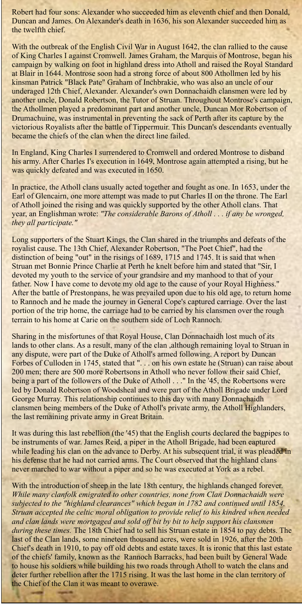Robert had four sons: Alexander who succeeded him as eleventh chief and then Donald, Duncan and James. On Alexander's death in 1636, his son Alexander succeeded him as the twelfth chief.

With the outbreak of the English Civil War in August 1642, the clan rallied to the cause of King Charles I against Cromwell. James Graham, the Marquis of Montrose, began his campaign by walking on foot in highland dress into Atholl and raised the Royal Standard at Blair in 1644. Montrose soon had a strong force of about 800 Athollmen led by his kinsman Patrick "Black Pate" Graham of Inchbrakie, who was also an uncle of our underaged 12th Chief, Alexander. Alexander's own Donnachaidh clansmen were led by another uncle, Donald Robertson, the Tutor of Struan. Throughout Montrose's campaign, the Athollmen played a predominant part and another uncle, Duncan Mor Robertson of Drumachuine, was instrumental in preventing the sack of Perth after its capture by the victorious Royalists after the battle of Tippermuir. This Duncan's descendants eventually became the chiefs of the clan when the direct line failed.

In England, King Charles I surrendered to Cromwell and ordered Montrose to disband his army. After Charles I's execution in 1649, Montrose again attempted a rising, but he was quickly defeated and was executed in 1650.

In practice, the Atholl clans usually acted together and fought as one. In 1653, under the Earl of Glencairn, one more attempt was made to put Charles II on the throne. The Earl of Atholl joined the rising and was quickly supported by the other Atholl clans. That year, an Englishman wrote: *"The considerable Barons of Atholl . . . if any be wronged, they all participate."*

Long supporters of the Stuart Kings, the Clan shared in the triumphs and defeats of the royalist cause. The 13th Chief, Alexander Robertson, "The Poet Chief", had the distinction of being "out" in the risings of 1689, 1715 and 1745. It is said that when Struan met Bonnie Prince Charlie at Perth he knelt before him and stated that "Sir, I devoted my youth to the service of your grandsire and my manhood to that of your father. Now I have come to devote my old age to the cause of your Royal Highness." After the battle of Prestonpans, he was prevailed upon due to his old age, to return home to Rannoch and he made the journey in General Cope's captured carriage. Over the last portion of the trip home, the carriage had to be carried by his clansmen over the rough terrain to his home at Carie on the southern side of Loch Rannoch.

With the introduction of sheep in the late 18th century, the highlands changed forever. *While many clanfolk emigrated to other countries, none from Clan Donnachaidh were subjected to the "highland clearances" which began in 1782 and continued until 1854. Struan accepted the celtic moral obligation to provide relief to his kindred when needed and clan lands were mortgaged and sold off bit by bit to help support his clansmen during these times.* The 18th Chief had to sell his Struan estate in 1854 to pay debts. The last of the Clan lands, some nineteen thousand acres, were sold in 1926, after the 20th Chief's death in 1910, to pay off old debts and estate taxes. It is ironic that this last estate of the chiefs' family, known as the Rannoch Barracks, had been built by General Wade to house his soldiers while building his two roads through Atholl to watch the clans and deter further rebellion after the 1715 rising. It was the last home in the clan territory of the Chief of the Clan it was meant to overawe.

Sharing in the misfortunes of that Royal House, Clan Donnachaidh lost much of its lands to other clans. As a result, many of the clan ,although remaining loyal to Struan in any dispute, were part of the Duke of Atholl's armed following. A report by Duncan Forbes of Culloden in 1745, stated that ". . . on his own estate he (Struan) can raise about 200 men; there are 500 more Robertsons in Atholl who never follow their said Chief, being a part of the followers of the Duke of Atholl . . ." In the '45, the Robertsons were led by Donald Robertson of Woodsheal and were part of the Atholl Brigade under Lord George Murray. This relationship continues to this day with many Donnachaidh clansmen being members of the Duke of Atholl's private army, the Atholl Highlanders, the last remaining private army in Great Britain.

It was during this last rebellion (the '45) that the English courts declared the bagpipes to be instruments of war. James Reid, a piper in the Atholl Brigade, had been captured while leading his clan on the advance to Derby. At his subsequent trial, it was pleaded in his defense that he had not carried arms. The Court observed that the highland clans never marched to war without a piper and so he was executed at York as a rebel.